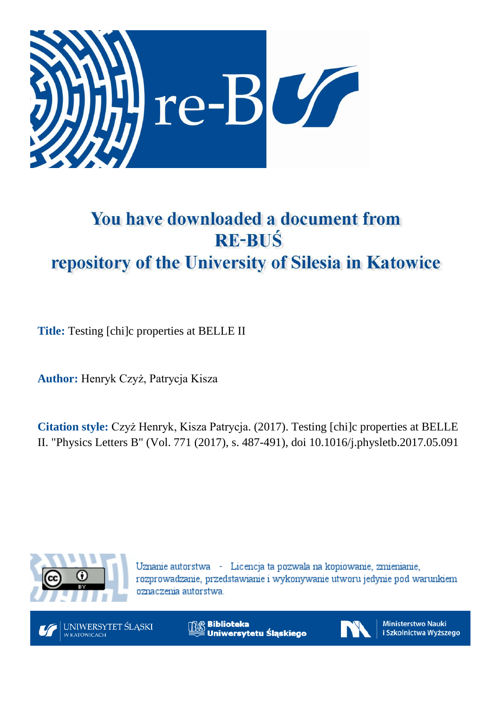

# You have downloaded a document from **RE-BUŚ** repository of the University of Silesia in Katowice

**Title:** Testing [chi]c properties at BELLE II

**Author:** Henryk Czyż, Patrycja Kisza

**Citation style:** Czyż Henryk, Kisza Patrycja. (2017). Testing [chi]c properties at BELLE II. "Physics Letters B" (Vol. 771 (2017), s. 487-491), doi 10.1016/j.physletb.2017.05.091



Uznanie autorstwa - Licencja ta pozwala na kopiowanie, zmienianie, rozprowadzanie, przedstawianie i wykonywanie utworu jedynie pod warunkiem oznaczenia autorstwa.



UNIWERSYTET ŚLĄSKI **V KATOWICACH** 

**Biblioteka** Uniwersytetu Śląskiego



**Ministerstwo Nauki** i Szkolnictwa Wyższego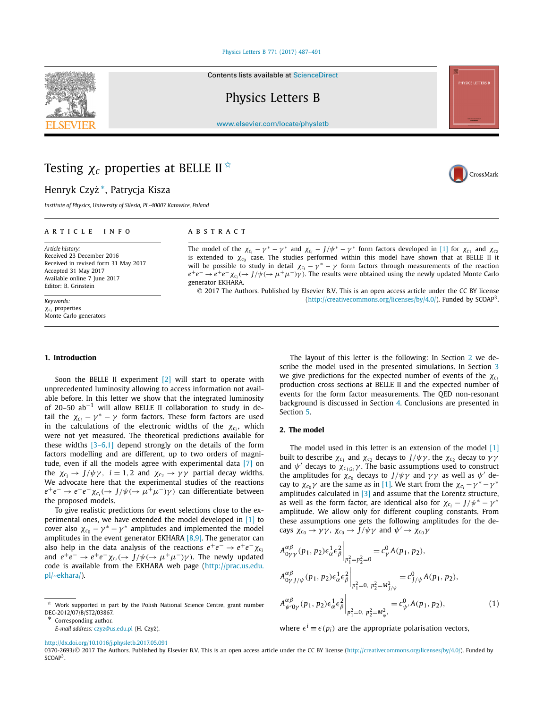#### [Physics Letters B 771 \(2017\) 487–491](http://dx.doi.org/10.1016/j.physletb.2017.05.091)

Contents lists available at [ScienceDirect](http://www.ScienceDirect.com/)

Physics Letters B

[www.elsevier.com/locate/physletb](http://www.elsevier.com/locate/physletb)

# Testing *χ<sup>c</sup>* properties at BELLE II ✩

## Henryk Czyż<sup>\*</sup>, Patrycja Kisza

*Institute of Physics, University of Silesia, PL-40007 Katowice, Poland*

#### A R T I C L E I N F O A B S T R A C T

*Article history:* Received 23 December 2016 Received in revised form 31 May 2017 Accepted 31 May 2017 Available online 7 June 2017 Editor: B. Grinstein

*Keywords: χci* properties Monte Carlo generators

The model of the  $\chi_{c_i} - \gamma^* - \gamma^*$  and  $\chi_{c_i} - J/\psi^* - \gamma^*$  form factors developed in [\[1\]](#page-5-0) for  $\chi_{c_1}$  and  $\chi_{c_2}$ is extended to  $\chi_{c_0}$  case. The studies performed within this model have shown that at BELLE II it will be possible to study in detail  $\chi_{c_i} - \gamma^* - \gamma$  form factors through measurements of the reaction  $e^+e^- \to e^+e^- \chi_{c_i} \to J/\psi \to \mu^+\mu^-) \gamma$ ). The results were obtained using the newly updated Monte Carlo generator EKHARA.

© 2017 The Authors. Published by Elsevier B.V. This is an open access article under the CC BY license [\(http://creativecommons.org/licenses/by/4.0/\)](http://creativecommons.org/licenses/by/4.0/). Funded by SCOAP<sup>3</sup>.

#### **1. Introduction**

Soon the BELLE II experiment [\[2\]](#page-5-0) will start to operate with unprecedented luminosity allowing to access information not available before. In this letter we show that the integrated luminosity of 20–50  $ab^{-1}$  will allow BELLE II collaboration to study in detail the  $\chi_{c_i} - \gamma^* - \gamma$  form factors. These form factors are used in the calculations of the electronic widths of the  $\chi_{c_i}$ , which were not yet measured. The theoretical predictions available for these widths  $[3-6,1]$  depend strongly on the details of the form factors modelling and are different, up to two orders of magnitude, even if all the models agree with experimental data [\[7\]](#page-5-0) on the  $\chi_{c_i} \to J/\psi \gamma$ ,  $i = 1, 2$  and  $\chi_{c_2} \to \gamma \gamma$  partial decay widths. We advocate here that the experimental studies of the reactions  $e^+e^- \rightarrow e^+e^- \chi_{c_i}(\rightarrow J/\psi(\rightarrow \mu^+\mu^-)\gamma)$  can differentiate between the proposed models.

To give realistic predictions for event selections close to the experimental ones, we have extended the model developed in [\[1\]](#page-5-0) to cover also  $\chi_{c_0} - \gamma^* - \gamma^*$  amplitudes and implemented the model amplitudes in the event generator EKHARA  $[8,9]$ . The generator can also help in the data analysis of the reactions  $e^+e^- \rightarrow e^+e^- \chi_c$ and  $e^+e^- \rightarrow e^+e^- \chi_{c_i}(\rightarrow J/\psi(\rightarrow \mu^+\mu^-)\gamma)$ . The newly updated code is available from the EKHARA web page [\(http://prac.us.edu.](http://prac.us.edu.pl/~ekhara/) [pl/~ekhara/](http://prac.us.edu.pl/~ekhara/)).

Corresponding author.

The layout of this letter is the following: In Section 2 we describe the model used in the presented simulations. In Section [3](#page-2-0) we give predictions for the expected number of events of the *χci* production cross sections at BELLE II and the expected number of events for the form factor measurements. The QED non-resonant background is discussed in Section [4.](#page-4-0) Conclusions are presented in Section [5.](#page-5-0)

### **2. The model**

The model used in this letter is an extension of the model  $[1]$ built to describe  $\chi_{c_1}$  and  $\chi_{c_2}$  decays to *J*/ $ψγ$ , the  $\chi_{c_2}$  decay to  $γγ$ and  $\psi'$  decays to  $\chi_{c_1(2)}\gamma$ . The basic assumptions used to construct the amplitudes for  $\chi_{c_0}$  decays to *J*/ $\psi \gamma$  and  $\gamma \gamma$  as well as  $\psi'$  decay to  $\chi_{c_0} \gamma$  are the same as in [\[1\].](#page-5-0) We start from the  $\chi_{c_i} - \gamma^* - \gamma^*$ amplitudes calculated in  $[3]$  and assume that the Lorentz structure, as well as the form factor, are identical also for  $\chi_{c_i} - J/\psi^* - \gamma^*$ amplitude. We allow only for different coupling constants. From these assumptions one gets the following amplitudes for the decays  $\chi_{c_0} \to \gamma \gamma$ ,  $\chi_{c_0} \to J/\psi \gamma$  and  $\psi' \to \chi_{c_0} \gamma$ 

$$
A_{0\gamma\gamma}^{\alpha\beta}(p_1, p_2) \epsilon_{\alpha}^1 \epsilon_{\beta}^2 \Big|_{p_1^2 = p_2^2 = 0} = c_{\gamma}^0 A(p_1, p_2),
$$
  
\n
$$
A_{0\gamma J/\psi}^{\alpha\beta}(p_1, p_2) \epsilon_{\alpha}^1 \epsilon_{\beta}^2 \Big|_{p_1^2 = 0, p_2^2 = M_{J/\psi}^2} = c_{J/\psi}^0 A(p_1, p_2),
$$
  
\n
$$
A_{\psi'0\gamma}^{\alpha\beta}(p_1, p_2) \epsilon_{\alpha}^1 \epsilon_{\beta}^2 \Big|_{p_1^2 = 0, p_2^2 = M_{\psi'}^2} = c_{\psi'}^0 A(p_1, p_2),
$$
\n(1)

where  $\epsilon^{i} \equiv \epsilon(p_{i})$  are the appropriate polarisation vectors,

<http://dx.doi.org/10.1016/j.physletb.2017.05.091>





<sup>✩</sup> Work supported in part by the Polish National Science Centre, grant number DEC-2012/07/B/ST2/03867.

*E-mail address: [czyz@us.edu.pl](mailto:czyz@us.edu.pl) (H. Czyż).* 

<sup>0370-2693/© 2017</sup> The Authors. Published by Elsevier B.V. This is an open access article under the CC BY license [\(http://creativecommons.org/licenses/by/4.0/\)](http://creativecommons.org/licenses/by/4.0/). Funded by SCOAP<sup>3</sup>.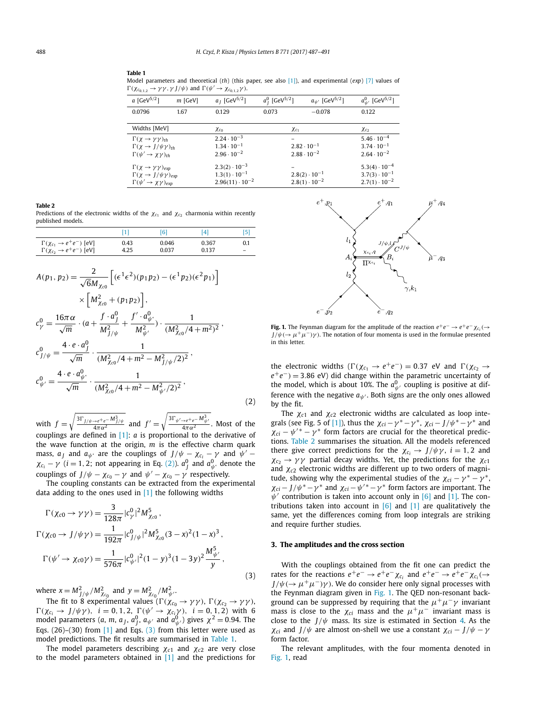#### <span id="page-2-0"></span>**Table 1**

Model parameters and theoretical (*th*) (this paper, see also [\[1\]\)](#page-5-0), and experimental (*exp*) [\[7\]](#page-5-0) values of  $\Gamma(\chi_{c_0,1,2} \to \gamma \gamma, \gamma J/\psi)$  and  $\Gamma(\psi' \to \chi_{c_0,1,2} \gamma)$ .

| <i>a</i> [GeV <sup>5/2</sup> ]                                                                                            | $m$ [GeV] | $a_j$ [GeV <sup>5/2</sup> ]                                                 | $a_I^0$ [GeV <sup>5/2</sup> ] | $a_{\psi'}$ [GeV <sup>5/2</sup> ]                | $a_{\psi'}^0$ [GeV <sup>5/2</sup> ]                                        |
|---------------------------------------------------------------------------------------------------------------------------|-----------|-----------------------------------------------------------------------------|-------------------------------|--------------------------------------------------|----------------------------------------------------------------------------|
| 0.0796                                                                                                                    | 1.67      | 0.129                                                                       | 0.073                         | $-0.078$                                         | 0.122                                                                      |
| Widths [MeV]                                                                                                              |           | $\chi_{c_0}$                                                                |                               | $\chi_{c_1}$                                     | $\chi_{c_2}$                                                               |
| $\Gamma(\chi \to \gamma \gamma)_{th}$<br>$\Gamma(\chi \to J/\psi \gamma)_{th}$<br>$\Gamma(\psi' \to \chi \gamma)_{th}$    |           | $2.24 \cdot 10^{-3}$<br>$1.34 \cdot 10^{-1}$<br>$2.96 \cdot 10^{-2}$        |                               | $2.82 \cdot 10^{-1}$<br>$2.88 \cdot 10^{-2}$     | $5.46 \cdot 10^{-4}$<br>$3.74 \cdot 10^{-1}$<br>$2.64 \cdot 10^{-2}$       |
| $\Gamma(\chi \to \gamma \gamma)_{exp}$<br>$\Gamma(\chi \to J/\psi \gamma)_{exp}$<br>$\Gamma(\psi' \to \chi \gamma)_{exp}$ |           | $2.3(2) \cdot 10^{-3}$<br>$1.3(1)\cdot 10^{-1}$<br>$2.96(11) \cdot 10^{-2}$ |                               | $2.8(2) \cdot 10^{-1}$<br>$2.8(1) \cdot 10^{-2}$ | $5.3(4) \cdot 10^{-4}$<br>$3.7(3) \cdot 10^{-1}$<br>$2.7(1) \cdot 10^{-2}$ |

#### **Table 2**

Predictions of the electronic widths of the  $\chi_{c_1}$  and  $\chi_{c_2}$  charmonia within recently published models.

|                                      |      | [6]   | [4]   |     |
|--------------------------------------|------|-------|-------|-----|
| $\Gamma(\chi_{c_1} \to e^+e^-)$ [eV] | 0.43 | 0.046 | 0.367 | 0.1 |
| $\Gamma(\chi_{c_2} \to e^+e^-)$ [eV] | 4.25 | 0.037 | 0.137 |     |

$$
A(p_1, p_2) = \frac{2}{\sqrt{6}M_{\chi_{c0}}} \left[ (\epsilon^1 \epsilon^2)(p_1 p_2) - (\epsilon^1 p_2)(\epsilon^2 p_1) \right] \times \left[ M_{\chi_{c0}}^2 + (p_1 p_2) \right],
$$
  
\n
$$
c_{\gamma}^0 = \frac{16\pi \alpha}{\sqrt{m}} \cdot (a + \frac{f \cdot a_{\gamma}^0}{M_{\gamma/\psi}^2} + \frac{f' \cdot a_{\psi'}^0}{M_{\psi'}^2}) \cdot \frac{1}{(M_{\chi_{c0}}^2/4 + m^2)^2},
$$
  
\n
$$
c_{J/\psi}^0 = \frac{4 \cdot e \cdot a_{J}^0}{\sqrt{m}} \cdot \frac{1}{(M_{\chi_{c0}}^2/4 + m^2 - M_{J/\psi}^2/2)^2},
$$
  
\n
$$
c_{\psi'}^0 = \frac{4 \cdot e \cdot a_{\psi'}^0}{\sqrt{m}} \cdot \frac{1}{(M_{\chi_{c0}}^2/4 + m^2 - M_{\psi'}^2/2)^2},
$$
\n(2)

with  $f =$  $\sqrt{\frac{3\Gamma_{J/\psi\to e^+e^-M_{J/\psi}^2}{4\pi\alpha^2}}$  and  $f'=\sqrt{\frac{3\Gamma_{\psi'\to e^+e^-}M_{\psi'}^3}{4\pi\alpha^2}}$ . Most of the couplings are defined in [\[1\]:](#page-5-0) *a* is proportional to the derivative of the wave function at the origin, *m* is the effective charm quark mass,  $a_j$  and  $a_{\psi}$  are the couplings of  $J/\psi - \chi_{c_i} - \gamma$  and  $\psi'$ *χ*<sub>*c<sub>i</sub>*</sub> − *γ* (*i* = 1, 2; not appearing in Eq. (2)).  $a_j^0$  and  $a_{\psi}^0$  denote the couplings of *J*/ $\psi - \chi_{c_0} - \gamma$  and  $\psi' - \chi_{c_0} - \gamma$  respectively.

The coupling constants can be extracted from the experimental data adding to the ones used in  $[1]$  the following widths

$$
\Gamma(\chi_{c0} \to \gamma \gamma) = \frac{3}{128\pi} |c_{\gamma}^{0}|^{2} M_{\chi_{c0}}^{5},
$$
\n
$$
\Gamma(\chi_{c0} \to J/\psi \gamma) = \frac{1}{192\pi} |c_{J/\psi}^{0}|^{2} M_{\chi_{c0}}^{5} (3 - x)^{2} (1 - x)^{3},
$$
\n
$$
\Gamma(\psi' \to \chi_{c0} \gamma) = \frac{1}{576\pi} |c_{\psi'}^{0}|^{2} (1 - y)^{3} (1 - 3y)^{2} \frac{M_{\psi'}^{5}}{y},
$$
\n(3)

 $w$ here  $x = M_{J/\psi}^2 / M_{\chi_{c_0}}^2$  and  $y = M_{\chi_{c_0}}^2 / M_{\psi'}^2$ .

The fit to 8 experimental values ( $\Gamma(\chi_{c_0} \to \gamma \gamma)$ ,  $\Gamma(\chi_{c_2} \to \gamma \gamma)$ ,  $(\chi_{c_i} \to J/\psi \gamma)$ ,  $i = 0, 1, 2$ ,  $\Gamma(\psi' \to \chi_{c_i} \gamma)$ ,  $i = 0, 1, 2$ ) with 6 model parameters (*a*, *m*, *a*<sub>J</sub>, *a*<sub>J</sub>, *a*<sub> $\psi'$ </sub> and *a*<sub> $\psi'$ </sub>) gives  $\chi^2$  = 0.94. The Eqs. (26)–(30) from [\[1\]](#page-5-0) and Eqs. (3) from this letter were used as model predictions. The fit results are summarised in Table 1.

The model parameters describing *χc*<sup>1</sup> and *χc*<sup>2</sup> are very close to the model parameters obtained in [\[1\]](#page-5-0) and the predictions for



**Fig. 1.** The Feynman diagram for the amplitude of the reaction  $e^+e^- \to e^+e^-\chi_{c_i}(\to e^+e^-e^-)$  $J/\psi$ ( $\rightarrow \mu^+\mu^-$ ) $\gamma$ ). The notation of four momenta is used in the formulae presented in this letter.

the electronic widths ( $\Gamma(\chi_{c_1} \to e^+e^-) = 0.37$  eV and  $\Gamma(\chi_{c_2} \to e^+e^-) = 0.37$ *e*+*e*−*)* = 3*.*86 eV) did change within the parametric uncertainty of the model, which is about 10%. The  $a_{\psi}^0$  coupling is positive at difference with the negative  $a_{\psi}$ . Both signs are the only ones allowed by the fit.

The  $\chi_{c1}$  and  $\chi_{c2}$  electronic widths are calculated as loop inte-grals (see Fig. 5 of [\[1\]\)](#page-5-0), thus the  $\chi_{ci} - \gamma^* - \gamma^*$ ,  $\chi_{ci} - J/\psi^* - \gamma^*$  and  $\chi_{ci} - \psi^{\prime *} - \gamma^*$  form factors are crucial for the theoretical predictions. Table 2 summarises the situation. All the models referenced there give correct predictions for the  $\chi_{c_i} \to J/\psi \gamma$ ,  $i = 1, 2$  and  $χ<sub>c2</sub> → γγ$  partial decay widths. Yet, the predictions for the  $χ<sub>c1</sub>$ and *χc*<sup>2</sup> electronic widths are different up to two orders of magnitude, showing why the experimental studies of the  $\chi_{ci} - \gamma^* - \gamma^*$ , *χ*<sub>ci</sub> − *J*/ $\psi^*$  −  $\gamma^*$  and  $\chi_{ci}$  −  $\psi'^*$  −  $\gamma^*$  form factors are important. The  $\psi'$  contribution is taken into account only in [\[6\]](#page-5-0) and [\[1\].](#page-5-0) The contributions taken into account in  $\begin{bmatrix} 6 \end{bmatrix}$  and  $\begin{bmatrix} 1 \end{bmatrix}$  are qualitatively the same, yet the differences coming from loop integrals are striking and require further studies.

#### **3. The amplitudes and the cross section**

With the couplings obtained from the fit one can predict the rates for the reactions  $e^+e^- \rightarrow e^+e^- \chi_{c_i}$  and  $e^+e^- \rightarrow e^+e^- \chi_{c_i}(\rightarrow$  $J/\psi$ ( $\rightarrow \mu^+\mu^-$ ) $\gamma$ ). We do consider here only signal processes with the Feynman diagram given in Fig. 1. The QED non-resonant background can be suppressed by requiring that the  $\mu^+\mu^-\gamma$  invariant mass is close to the  $\chi_{ci}$  mass and the  $\mu^+\mu^-$  invariant mass is close to the  $J/\psi$  mass. Its size is estimated in Section [4.](#page-4-0) As the *χci* and *J*/ $\psi$  are almost on-shell we use a constant  $\chi_{ci} - J/\psi - \gamma$ form factor.

The relevant amplitudes, with the four momenta denoted in Fig. 1, read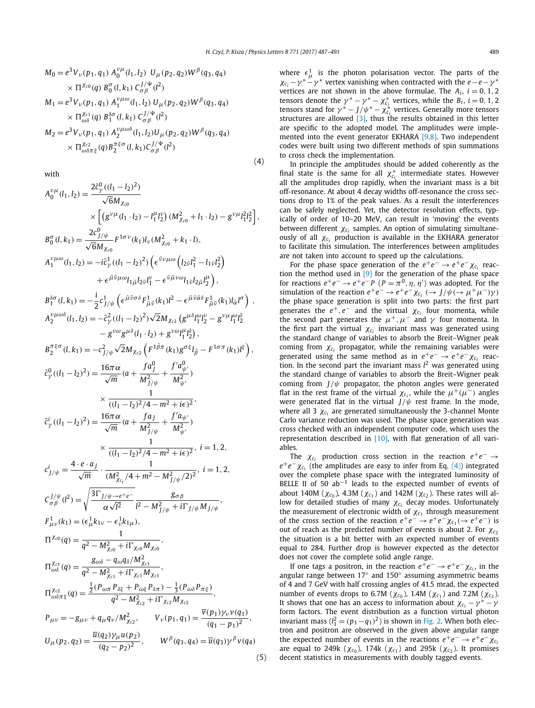(4)

(5)

$$
M_0 = e^{3} V_{\nu}(p_1, q_1) A_0^{\nu\mu}(l_1, l_2) U_{\mu}(p_2, q_2) W^{\beta}(q_3, q_4)
$$
  
\n
$$
\times \Pi^{\chi_{c0}}(q) B_0^{\sigma}(l, k_1) C_{\sigma\beta}^{J/\Psi}(l^2)
$$
  
\n
$$
M_1 = e^{3} V_{\nu}(p_1, q_1) A_1^{\nu\mu\omega}(l_1, l_2) U_{\mu}(p_2, q_2) W^{\beta}(q_3, q_4)
$$
  
\n
$$
\times \Pi_{\omega\delta}^{\chi_{c1}}(q) B_1^{\delta\sigma}(l, k_1) C_{\sigma\beta}^{J/\Psi}(l^2)
$$
  
\n
$$
M_2 = e^{3} V_{\nu}(p_1, q_1) A_2^{\nu\mu\omega\delta}(l_1, l_2) U_{\mu}(p_2, q_2) W^{\beta}(q_3, q_4)
$$
  
\n
$$
\times \Pi_{\omega\delta\pi\xi}^{\chi_{c2}}(q) B_2^{\pi\xi\sigma}(l, k_1) C_{\sigma\beta}^{J/\Psi}(l^2)
$$

with

$$
A_0^{\nu\mu}(l_1, l_2) = \frac{2\bar{c}_{\gamma}^0((l_1 - l_2)^2)}{\sqrt{6}M_{\chi_{c0}}} \times \left[ (g^{\nu\mu}(l_1 \cdot l_2) - l_1^{\mu}l_2^{\nu})(M_{\chi_{c0}}^2 + l_1 \cdot l_2) - g^{\nu}\mu_1^2l_2^2 \right],
$$
  
\n
$$
B_0^{\sigma}(l, k_1) = \frac{2c_{\gamma/\psi}^0}{\sqrt{6}M_{\chi_{c0}}} F^{1\sigma\nu}(k_1)l_{\nu}(M_{\chi_{c0}}^2 + k_1 \cdot l),
$$
  
\n
$$
A_1^{\nu\mu\omega}(l_1, l_2) = -i\bar{c}_{\gamma}^1((l_1 - l_2)^2) \left( \epsilon^{\bar{\nu}\nu\mu\omega} (l_{2\bar{\nu}}l_1^2 - l_{1\bar{\nu}}l_2^2) \right. \\ \left. + \epsilon^{\bar{\mu}\bar{\nu}\mu\omega}l_{1\bar{\mu}}l_{2\bar{\nu}}l_1^{\mu} - \epsilon^{\bar{\nu}\bar{\mu}\nu\omega}l_{1\bar{\nu}}l_{2\bar{\mu}}l_2^{\mu} \right),
$$
  
\n
$$
B_1^{\delta\sigma}(l, k_1) = -\frac{i}{2}c_{\gamma/\psi}^1 \left( \epsilon^{\bar{\mu}\bar{\nu}\sigma\delta}F_{\bar{\mu}\bar{\nu}}^1(k_1)l^2 - \epsilon^{\bar{\mu}\bar{\nu}\bar{\omega}\delta}F_{\bar{\mu}\bar{\nu}}^1(k_1)l_{\bar{\alpha}}l^{\sigma} \right) ,
$$
  
\n
$$
A_2^{\nu\mu\omega\delta}(l_1, l_2) = -\bar{c}_{\gamma}^2((l_1 - l_2)^2)\sqrt{2}M_{\chi_{c2}} (g^{\mu\delta}l_1^{\mu}l_2^{\mu} - g^{\nu\mu}l_1^{\mu}l_2^{\delta} - g^{\nu\mu}l_2^{\mu}l_2^{\delta} - g^{\nu\mu}l_2^{\mu}l_2^{\delta} ) ,
$$
  
\n
$$
B_2^{\pi\xi\sigma}(l, k_1) = -c_{\gamma/\psi}^2\sqrt{2}M_{\chi_{c2}} (F
$$

where  $\epsilon_{\mu}^{1}$  is the photon polarisation vector. The parts of the  $\chi_{c_i} - \gamma^* - \gamma^*$  vertex vanishing when contracted with the *e*−*e*− $\gamma^*$ vertices are not shown in the above formulae. The  $A_i$ ,  $i = 0, 1, 2$ tensors denote the  $\gamma^* - \gamma^* - \chi_{c_i}^*$  vertices, while the *B<sub>i</sub>*, *i* = 0, 1, 2 tensors stand for  $\gamma^* - J/\psi^* - \chi_{c_i}^*$  vertices. Generally more tensors structures are allowed  $[3]$ , thus the results obtained in this letter are specific to the adopted model. The amplitudes were imple-mented into the event generator EKHARA [\[9,8\].](#page-5-0) Two independent codes were built using two different methods of spin summations to cross check the implementation.

In principle the amplitudes should be added coherently as the final state is the same for all  $\chi_{c_i}^*$  intermediate states. However all the amplitudes drop rapidly, when the invariant mass is a bit off-resonance. At about 4 decay widths off-resonance the cross sections drop to 1% of the peak values. As a result the interferences can be safely neglected. Yet, the detector resolution effects, typically of order of 10–20 MeV, can result in 'moving' the events between different  $\chi_{c_i}$  samples. An option of simulating simultaneously of all *χci* production is available in the EKHARA generator to facilitate this simulation. The interferences between amplitudes are not taken into account to speed up the calculations.

For the phase space generation of the  $e^+e^- \rightarrow e^+e^- \chi_{c_i}$  reaction the method used in [\[9\]](#page-5-0) for the generation of the phase space for reactions  $e^+e^- \to e^+e^-P$  ( $P = \pi^0, \eta, \eta'$ ) was adopted. For the simulation of the reaction  $e^+e^- \to e^+e^- \chi_{c_i} \to J/\psi(\to \mu^+\mu^-)\gamma$ the phase space generation is split into two parts: the first part generates the  $e^+, e^-$  and the virtual  $\chi_{c_i}$  four momenta, while the second part generates the  $\mu^+$ ,  $\mu^-$  and  $\gamma$  four momenta. In the first part the virtual  $\chi_{c_i}$  invariant mass was generated using the standard change of variables to absorb the Breit–Wigner peak coming from  $\chi_{c_i}$  propagator, while the remaining variables were generated using the same method as in  $e^+e^- \rightarrow e^+e^- \chi_{c_i}$  reaction. In the second part the invariant mass  $l^2$  was generated using the standard change of variables to absorb the Breit–Wigner peak coming from  $J/\psi$  propagator, the photon angles were generated flat in the rest frame of the virtual  $\chi_{c_i}$ , while the  $\mu^+(\mu^-)$  angles were generated flat in the virtual *J/ψ* rest frame. In the mode, where all 3  $\chi_{c_i}$  are generated simultaneously the 3-channel Monte Carlo variance reduction was used. The phase space generation was cross checked with an independent computer code, which uses the representation described in [\[10\],](#page-5-0) with flat generation of all variables.

The  $\chi_{c_i}$  production cross section in the reaction  $e^+e^- \rightarrow$  $e^+e^-\chi_{c_i}$  (the amplitudes are easy to infer from Eq. (4)) integrated over the complete phase space with the integrated luminosity of BELLE II of 50 ab<sup>-1</sup> leads to the expected number of events of about 140M ( $\chi_{c_0}$ ), 4.3M ( $\chi_{c_1}$ ) and 142M ( $\chi_{c_2}$ ). These rates will allow for detailed studies of many  $χ<sub>c<sub>i</sub></sub>$  decay modes. Unfortunately the measurement of electronic width of  $\chi_{c_1}$  through measurement of the cross section of the reaction  $e^+e^- \rightarrow e^+e^- \chi_{c_1} (\rightarrow e^+e^-)$  is out of reach as the predicted number of events is about 2. For  $\chi_c$ the situation is a bit better with an expected number of events equal to 284. Further drop is however expected as the detector does not cover the complete solid angle range.

If one tags a positron, in the reaction  $e^+e^- \rightarrow e^+e^- \chi_{c_i}$ , in the angular range between 17◦ and 150◦ assuming asymmetric beams of 4 and 7 GeV with half crossing angles of 41.5 mrad, the expected number of events drops to 6.7M ( $\chi_{c_0}$ ), 1.4M ( $\chi_{c_1}$ ) and 7.2M ( $\chi_{c_2}$ ). It shows that one has an access to information about  $\chi_{c_i} - \gamma^* - \gamma$ form factors. The event distribution as a function virtual photon invariant mass  $(l_1^2 = (p_1 - q_1)^2)$  is shown in [Fig. 2.](#page-4-0) When both electron and positron are observed in the given above angular range the expected number of events in the reactions  $e^+e^- \rightarrow e^+e^- \chi_c$ are equal to 249k ( $\chi_{c_0}$ ), 174k ( $\chi_{c_1}$ ) and 295k ( $\chi_{c_2}$ ). It promises decent statistics in measurements with doubly tagged events.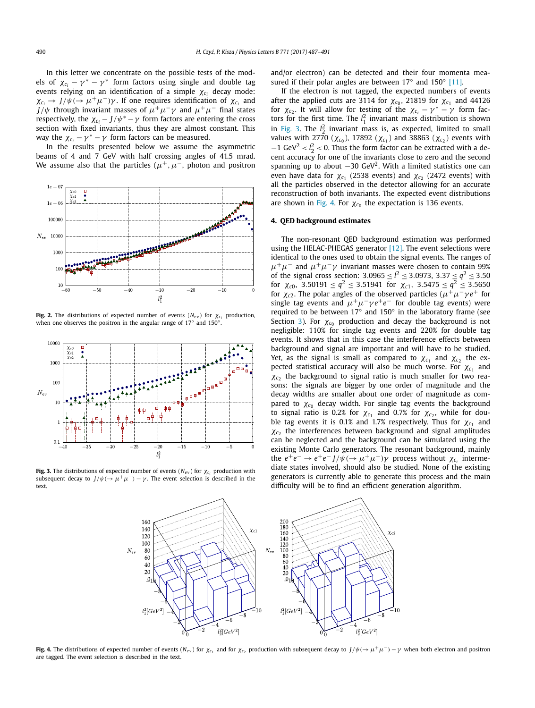<span id="page-4-0"></span>In this letter we concentrate on the possible tests of the models of  $\chi_{c_i} - \gamma^* - \gamma^*$  form factors using single and double tag events relying on an identification of a simple  $\chi_{c_i}$  decay mode:  $χ_{c_i}$  → *J*/ $ψ$ (→  $μ$ <sup>+</sup> $μ$ <sup>-</sup>) $γ$ . If one requires identification of  $χ_{c_i}$  and *J*/ $\psi$  through invariant masses of  $\mu^+ \mu^- \gamma$  and  $\mu^+ \mu^-$  final states respectively, the  $\chi_{c_i} - J/\psi^* - \gamma$  form factors are entering the cross section with fixed invariants, thus they are almost constant. This way the  $\chi_{c_i} - \gamma^* - \gamma$  form factors can be measured.

In the results presented below we assume the asymmetric beams of 4 and 7 GeV with half crossing angles of 41.5 mrad. We assume also that the particles ( $\mu^+$ ,  $\mu^-$ , photon and positron



**Fig. 2.** The distributions of expected number of events ( $N_{ev}$ ) for  $\chi_{c_i}$  production, when one observes the positron in the angular range of 17◦ and 150◦.



**Fig. 3.** The distributions of expected number of events ( $N_{ev}$ ) for  $\chi_c$  production with subsequent decay to  $J/\psi$ ( $\rightarrow \mu^+\mu^-$ ) –  $\gamma$ . The event selection is described in the text.

and/or electron) can be detected and their four momenta measured if their polar angles are between  $17°$  and  $150°$  [\[11\].](#page-5-0)

If the electron is not tagged, the expected numbers of events after the applied cuts are 3114 for  $\chi_{c_0}$ , 21819 for  $\chi_{c_1}$  and 44126 for  $\chi_{c_2}$ . It will allow for testing of the  $\chi_{c_i} - \gamma^* - \gamma$  form factors for the first time. The  $l_1^2$  invariant mass distribution is shown in Fig. 3. The  $l_2^2$  invariant mass is, as expected, limited to small values with 2770 ( $\chi_{c_0}$ ), 17892 ( $\chi_{c_1}$ ) and 38863 ( $\chi_{c_2}$ ) events with  $-1$  GeV<sup>2</sup>  $< l_2^2 < 0$ . Thus the form factor can be extracted with a decent accuracy for one of the invariants close to zero and the second spanning up to about  $-30 \text{ GeV}^2$ . With a limited statistics one can even have data for  $χ<sub>c1</sub>$  (2538 events) and  $χ<sub>c2</sub>$  (2472 events) with all the particles observed in the detector allowing for an accurate reconstruction of both invariants. The expected event distributions are shown in Fig. 4. For  $\chi_{c_0}$  the expectation is 136 events.

#### **4. QED background estimates**

The non-resonant QED background estimation was performed using the HELAC-PHEGAS generator  $[12]$ . The event selections were identical to the ones used to obtain the signal events. The ranges of  $\mu^+\mu^-$  and  $\mu^+\mu^-\gamma$  invariant masses were chosen to contain 99% of the signal cross section:  $3.0965 \le l^2 \le 3.0973$ ,  $3.37 \le q^2 \le 3.50$ for  $\chi_{c0}$ , 3.50191  $\leq q^2 \leq$  3.51941 for  $\chi_{c1}$ , 3.5475  $\leq q^2 \leq$  3.5650 for  $\chi_{c2}$ . The polar angles of the observed particles ( $\mu^+\mu^-\gamma e^+$  for single tag events and  $\mu^+\mu^-\gamma e^+e^-$  for double tag events) were required to be between 17◦ and 150◦ in the laboratory frame (see Section [3\)](#page-2-0). For  $\chi_{c_0}$  production and decay the background is not negligible: 110% for single tag events and 220% for double tag events. It shows that in this case the interference effects between background and signal are important and will have to be studied. Yet, as the signal is small as compared to  $\chi_{c_1}$  and  $\chi_{c_2}$  the expected statistical accuracy will also be much worse. For  $\chi_{c_1}$  and  $\chi_{c_2}$  the background to signal ratio is much smaller for two reasons: the signals are bigger by one order of magnitude and the decay widths are smaller about one order of magnitude as compared to  $χ<sub>c0</sub>$  decay width. For single tag events the background to signal ratio is 0.2% for  $χ<sub>c1</sub>$  and 0.7% for  $χ<sub>c2</sub>$ , while for double tag events it is 0.1% and 1.7% respectively. Thus for  $\chi_{c_1}$  and  $\chi_c$ <sub>2</sub> the interferences between background and signal amplitudes can be neglected and the background can be simulated using the existing Monte Carlo generators. The resonant background, mainly the  $e^+e^- \rightarrow e^+e^- J/\psi (\rightarrow \mu^+\mu^-)\gamma$  process without  $\chi_{c_i}$  intermediate states involved, should also be studied. None of the existing generators is currently able to generate this process and the main difficulty will be to find an efficient generation algorithm.



**Fig. 4.** The distributions of expected number of events (N<sub>ev</sub>) for  $\chi_{c_1}$  and for  $\chi_{c_2}$  production with subsequent decay to  $J/\psi(\rightarrow \mu^+\mu^-) - \gamma$  when both electron and positron are tagged. The event selection is described in the text.